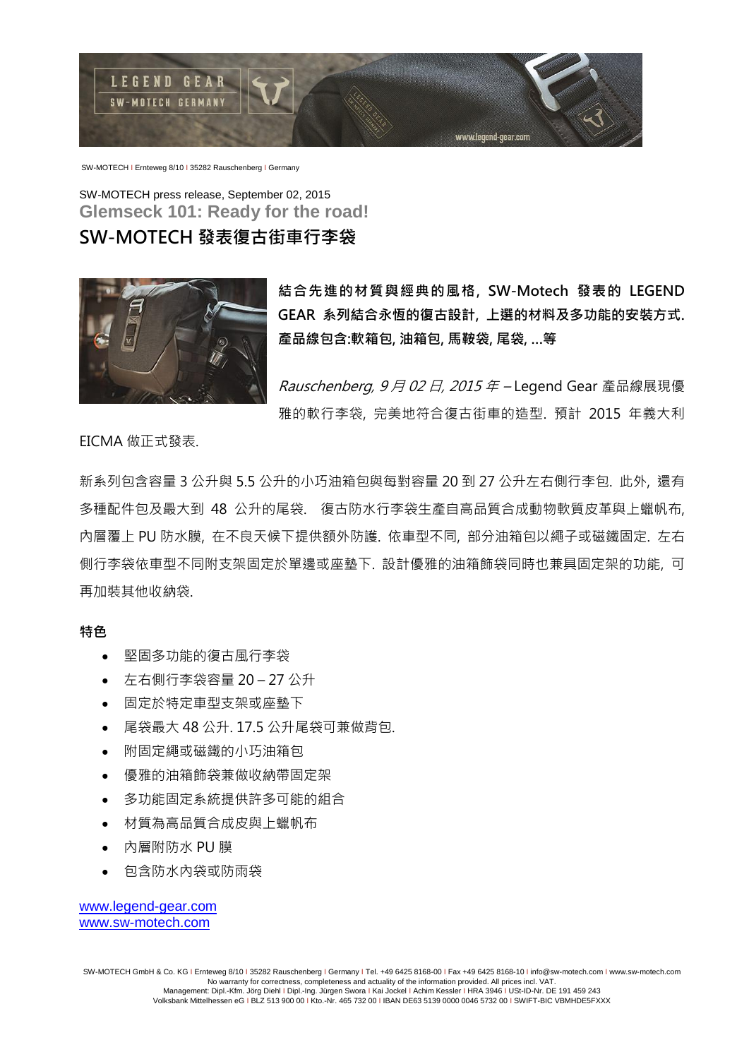

SW-MOTECH I Ernteweg 8/10 I 35282 Rauschenberg I Germany

SW-MOTECH press release, September 02, 2015 **Glemseck 101: Ready for the road!**

## SW-MOTECH 發表復古街車行李袋



結合先進的材質與經典的風格, SW-Motech 發表的 LEGEND GEAR 系列結合永恆的復古設計, 上選的材料及多功能的安裝方式. 產品線包含:軟箱包, 油箱包, 馬鞍袋, 尾袋, …等

Rauschenberg, 9月 02日, 2015年-Legend Gear 產品線展現優 雅的軟行李袋, 完美地符合復古街車的造型. 預計 2015 年義大利

EICMA 做正式發表.

新系列包含容量 3 公升與 5.5 公升的小巧油箱包與每對容量 20 到 27 公升左右側行李包. 此外, 還有 多種配件包及最大到 48 公升的尾袋. 復古防水行李袋生產自高品質合成動物軟質皮革與上蠟帆布, 內層覆上 PU 防水膜, 在不良天候下提供額外防護. 依車型不同, 部分油箱包以繩子或磁鐵固定. 左右 側行李袋依車型不同附支架固定於單邊或座墊下. 設計優雅的油箱飾袋同時也兼具固定架的功能, 可 再加裝其他收納袋.

特色

- 堅固多功能的復古風行李袋
- 左右側行李袋容量 20 27 公升
- 固定於特定車型支架或座墊下
- 尾袋最大 48 公升. 17.5 公升尾袋可兼做背包.
- 附固定繩或磁鐵的小巧油箱包
- 優雅的油箱飾袋兼做收納帶固定架
- 多功能固定系統提供許多可能的組合
- 材質為高品質合成皮與上蠟帆布
- 內層附防水 PU 膜
- 包含防水內袋或防雨袋

[www.legend-gear.com](http://www.legend-gear.com/) [www.sw-motech.com](http://www.sw-motech.com/)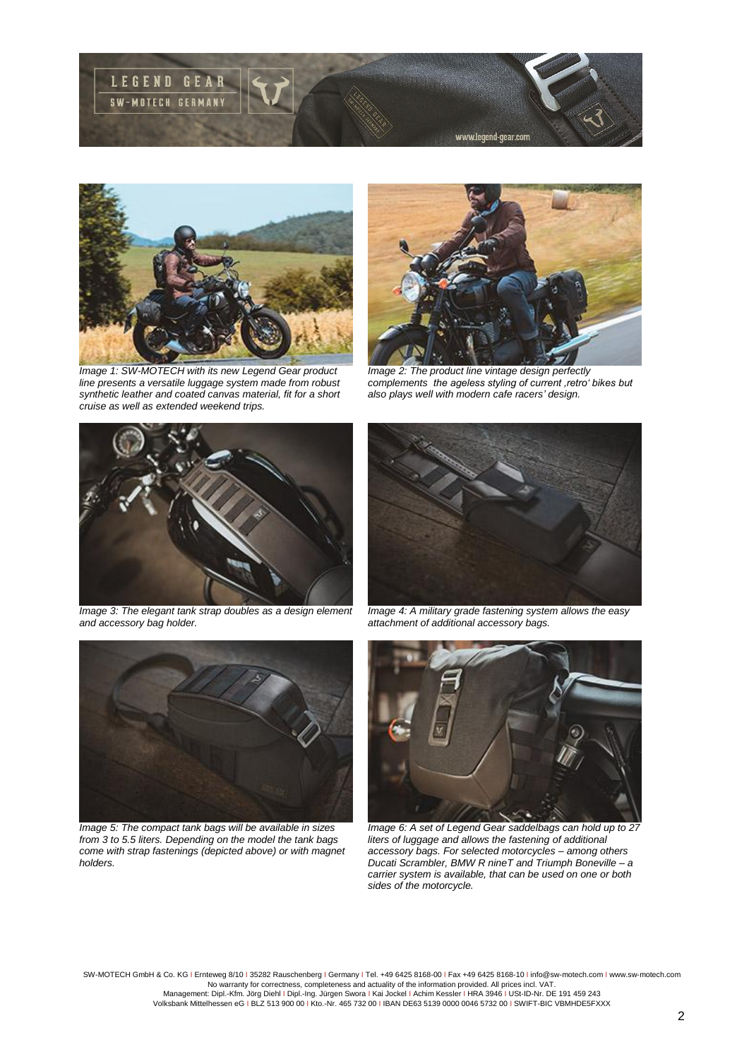



*Image 1: SW-MOTECH with its new Legend Gear product line presents a versatile luggage system made from robust synthetic leather and coated canvas material, fit for a short cruise as well as extended weekend trips.* 



*Image 2: The product line vintage design perfectly complements the ageless styling of current 'retro' bikes but also plays well with modern cafe racers' design.* 



*Image 3: The elegant tank strap doubles as a design element and accessory bag holder.* 



*Image 4: A military grade fastening system allows the easy attachment of additional accessory bags.* 



*Image 5: The compact tank bags will be available in sizes from 3 to 5.5 liters. Depending on the model the tank bags come with strap fastenings (depicted above) or with magnet holders.* 



*Image 6: A set of Legend Gear saddelbags can hold up to 27 liters of luggage and allows the fastening of additional accessory bags. For selected motorcycles – among others Ducati Scrambler, BMW R nineT and Triumph Boneville – a carrier system is available, that can be used on one or both sides of the motorcycle.* 

SW-MOTECH GmbH & Co. KG I Ernteweg 8/10 I 35282 Rauschenberg I Germany I Tel. +49 6425 8168-00 I Fax +49 6425 8168-10 I info@sw-motech.com I www.sw-motech.com

No warranty for correctness, completeness and actuality of the information provided. All prices incl. VAT.<br>Management: Dipl.-Kfm. Jörg Diehl I Dipl.-Ing. Jürgen Swora I Kai Jockel I Achim Kessler I HRA 3946 I USt-ID-Nr. D